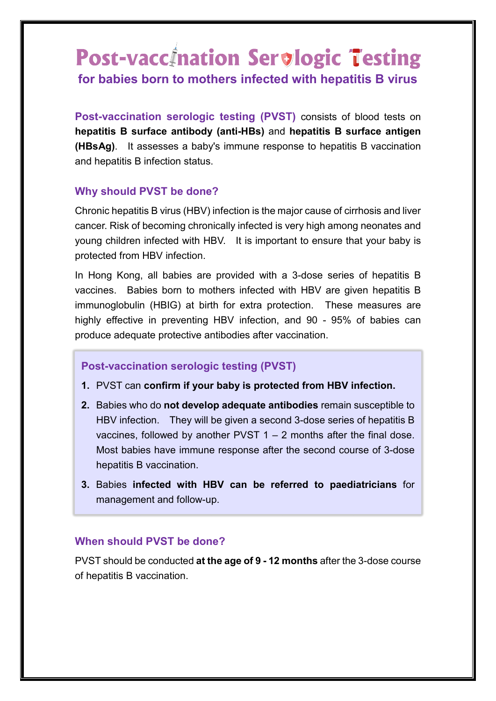# **Post-vaccination Servlogic Testing for babies born to mothers infected with hepatitis B virus**

**Post-vaccination serologic testing (PVST)** consists of blood tests on **hepatitis B surface antibody (anti-HBs)** and **hepatitis B surface antigen (HBsAg)**. It assesses a baby's immune response to hepatitis B vaccination and hepatitis B infection status.

## **Why should PVST be done?**

Chronic hepatitis B virus (HBV) infection is the major cause of cirrhosis and liver cancer. Risk of becoming chronically infected is very high among neonates and young children infected with HBV. It is important to ensure that your baby is protected from HBV infection.

In Hong Kong, all babies are provided with a 3-dose series of hepatitis B vaccines. Babies born to mothers infected with HBV are given hepatitis B immunoglobulin (HBIG) at birth for extra protection. These measures are highly effective in preventing HBV infection, and 90 - 95% of babies can produce adequate protective antibodies after vaccination.

## **Post-vaccination serologic testing (PVST)**

- **1.** PVST can **confirm if your baby is protected from HBV infection.**
- **2.** Babies who do **not develop adequate antibodies** remain susceptible to HBV infection. They will be given a second 3-dose series of hepatitis B vaccines, followed by another PVST  $1 - 2$  months after the final dose. Most babies have immune response after the second course of 3-dose hepatitis B vaccination.
- **3.** Babies **infected with HBV can be referred to paediatricians** for management and follow-up.

### **When should PVST be done?**

PVST should be conducted **at the age of 9 - 12 months** after the 3-dose course of hepatitis B vaccination.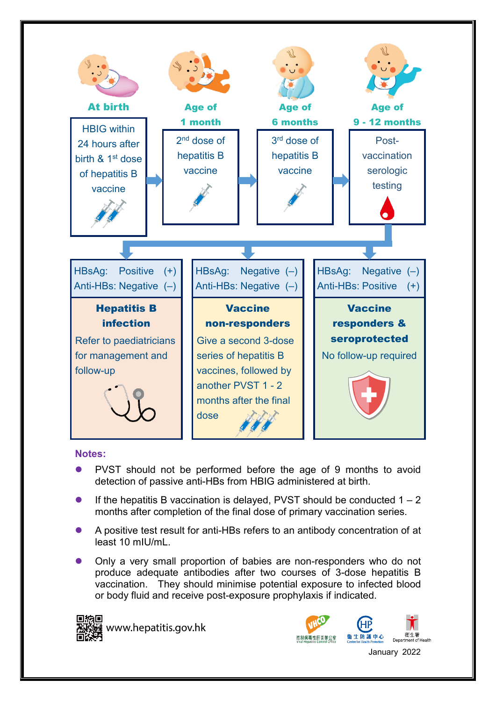

### **Notes:**

- PVST should not be performed before the age of 9 months to avoid detection of passive anti-HBs from HBIG administered at birth.
- If the hepatitis B vaccination is delayed, PVST should be conducted  $1 2$ months after completion of the final dose of primary vaccination series.
- A positive test result for anti-HBs refers to an antibody concentration of at least 10 mIU/mL.
- Only a very small proportion of babies are non-responders who do not produce adequate antibodies after two courses of 3-dose hepatitis B vaccination. They should minimise potential exposure to infected blood or body fluid and receive post-exposure prophylaxis if indicated.



www.hepatitis.gov.hk

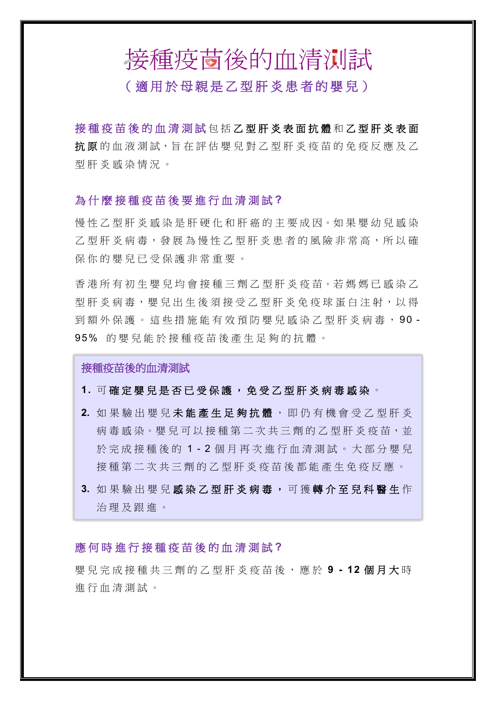# 接種疫茴後的血清测試

# (適用於母親是乙型肝炎患者的嬰兒)

接種疫苗後的血清測試 包括乙型肝炎表面抗體和乙型肝炎表面 抗原的血液測試,旨在評估嬰兒對乙型肝炎疫苗的免疫反應及乙 型肝炎感染情況 。

### 為什麼接種疫苗後要進行血清測試 **?**

慢性乙型肝炎感染是肝硬化和肝癌的主要成因。如果嬰幼兒感染 乙型肝炎病毒,發展為慢性乙型肝炎患者的風險非常高,所以確 保你的嬰兒已受保護非常重要。

香港所有初生嬰兒均會接種三劑乙型肝炎疫苗。若媽媽已感染乙 型肝炎病毒, 嬰兒出生後須接受乙型肝炎免疫球蛋白注射, 以得 到額外保護。這些措施能有效預防嬰兒感染乙型肝炎病毒,90-95% 的嬰兒能於接種疫苗後產生足夠的抗體。

接種疫苗後的血清測試

### 1. 可確定嬰兒是否已受保護,免受乙型肝炎病毒感染。

- 2. 如果驗出嬰兒未**能產生足夠抗體**, 即仍有機會受乙型肝炎 病毒感染。嬰兒可以接種第二次共三劑的乙型肝炎疫苗,並 於完成接種後的 1 - 2 個月再次進行血清測試。大部分嬰兒 接種第二次共三劑的乙型肝炎疫苗後都能產生免疫反應。
- **3.** 如果驗出嬰兒 感染乙型肝炎病毒 , 可 獲 轉介至兒科醫生 作 治理及跟進。

### 應 何時進行接種疫苗後的血清測試 **?**

嬰兒完成接種 共 三 劑 的 乙型肝炎疫苗後,應於 **9 - 12** 個月大 時 進行血清測試。